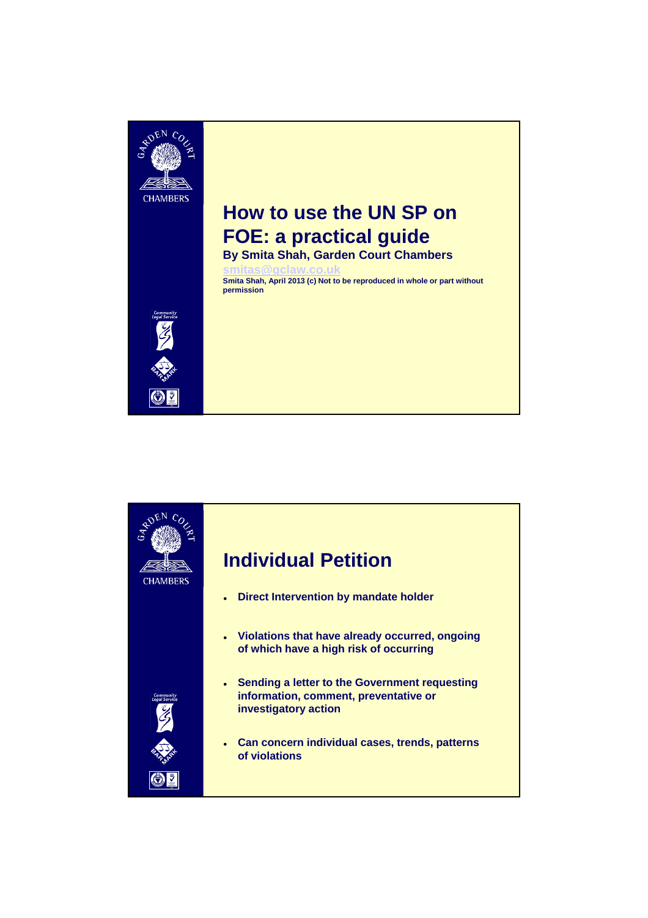

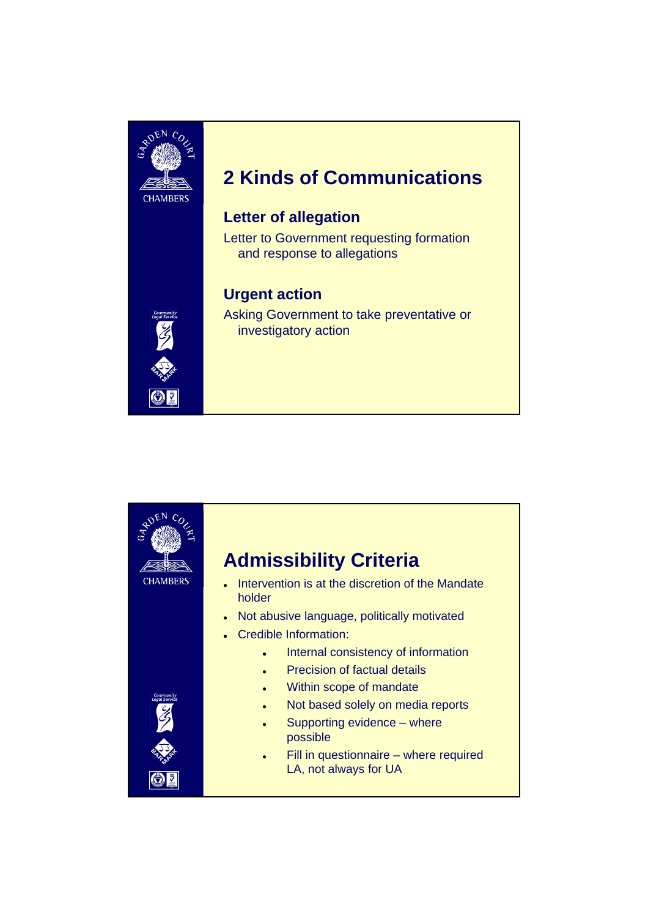

# **2 Kinds of Communications**

#### **Letter of allegation**

Letter to Government requesting formation and response to allegations

### **Urgent action**

Asking Government to take preventative or investigatory action



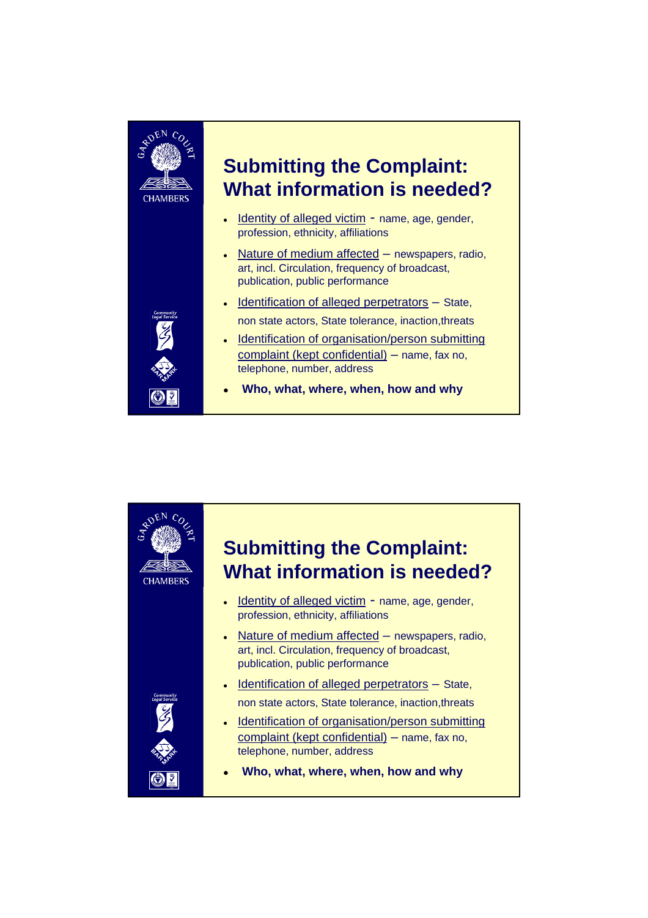

 $\odot$  ?

# **Submitting the Complaint: What information is needed?**

- Identity of alleged victim name, age, gender, profession, ethnicity, affiliations
- Nature of medium affected newspapers, radio, art, incl. Circulation, frequency of broadcast, publication, public performance
- $\bullet$  Identification of alleged perpetrators  $-$  State, non state actors, State tolerance, inaction,threats
- 



**Who, what, where, when, how and why**